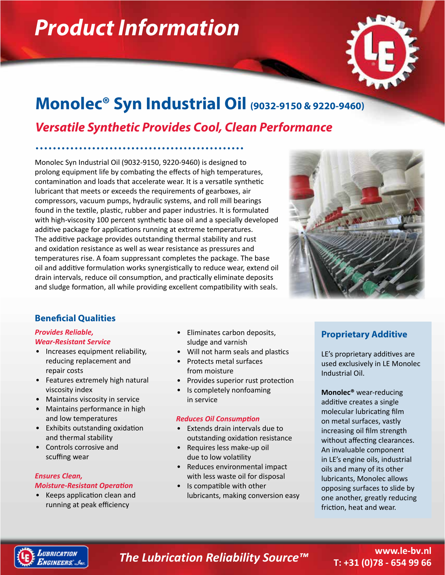# *Product Information*



# **Monolec® Syn Industrial Oil (9032-9150 & 9220-9460)**

# *Versatile Synthetic Provides Cool, Clean Performance*

Monolec Syn Industrial Oil (9032-9150, 9220-9460) is designed to prolong equipment life by combating the effects of high temperatures, contamination and loads that accelerate wear. It is a versatile synthetic lubricant that meets or exceeds the requirements of gearboxes, air compressors, vacuum pumps, hydraulic systems, and roll mill bearings found in the textile, plastic, rubber and paper industries. It is formulated with high-viscosity 100 percent synthetic base oil and a specially developed additive package for applications running at extreme temperatures. The additive package provides outstanding thermal stability and rust and oxidation resistance as well as wear resistance as pressures and temperatures rise. A foam suppressant completes the package. The base oil and additive formulation works synergistically to reduce wear, extend oil drain intervals, reduce oil consumption, and practically eliminate deposits and sludge formation, all while providing excellent compatibility with seals.



## **Beneficial Qualities**

#### *Provides Reliable, Wear-Resistant Service*

- Increases equipment reliability,
- reducing replacement and repair costs
- Features extremely high natural viscosity index
- Maintains viscosity in service
- Maintains performance in high and low temperatures
- Exhibits outstanding oxidation and thermal stability
- Controls corrosive and scuffing wear

#### *Ensures Clean, Moisture-Resistant Operation*

• Keeps application clean and running at peak efficiency

- Eliminates carbon deposits, sludge and varnish
- Will not harm seals and plastics
- Protects metal surfaces from moisture
- Provides superior rust protection
- Is completely nonfoaming in service

### *Reduces Oil Consumption*

- Extends drain intervals due to outstanding oxidation resistance
- Requires less make-up oil due to low volatility
- Reduces environmental impact with less waste oil for disposal
- Is compatible with other lubricants, making conversion easy

### **Proprietary Additive**

LE's proprietary additives are used exclusively in LE Monolec Industrial Oil.

**Monolec®** wear-reducing additive creates a single molecular lubricating film on metal surfaces, vastly increasing oil film strength without affecting clearances. An invaluable component in LE's engine oils, industrial oils and many of its other lubricants, Monolec allows opposing surfaces to slide by one another, greatly reducing friction, heat and wear.



## *The Lubrication Reliability Source™*

### **www.le-bv.nl T: +31 (0)78 - 654 99 66**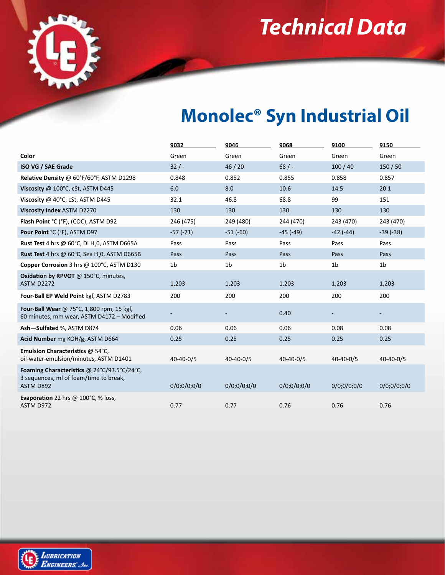*Technical Data*



# **Monolec® Syn Industrial Oil**

|                                                                                                    | 9032            | 9046            | 9068            | 9100           | 9150            |
|----------------------------------------------------------------------------------------------------|-----------------|-----------------|-----------------|----------------|-----------------|
| Color                                                                                              | Green           | Green           | Green           | Green          | Green           |
| ISO VG / SAE Grade                                                                                 | 32/             | 46/20           | 68/             | 100/40         | 150/50          |
| Relative Density @ 60°F/60°F, ASTM D1298                                                           | 0.848           | 0.852           | 0.855           | 0.858          | 0.857           |
| Viscosity @ 100°C, cSt, ASTM D445                                                                  | 6.0             | 8.0             | 10.6            | 14.5           | 20.1            |
| Viscosity @ 40°C, cSt, ASTM D445                                                                   | 32.1            | 46.8            | 68.8            | 99             | 151             |
| Viscosity Index ASTM D2270                                                                         | 130             | 130             | 130             | 130            | 130             |
| Flash Point °C (°F), (COC), ASTM D92                                                               | 246 (475)       | 249 (480)       | 244 (470)       | 243 (470)      | 243 (470)       |
| Pour Point °C (°F), ASTM D97                                                                       | $-57(-71)$      | $-51(-60)$      | $-45$ ( $-49$ ) | $-42(-44)$     | $-39(-38)$      |
| Rust Test 4 hrs @ 60°C, DI H <sub>2</sub> 0, ASTM D665A                                            | Pass            | Pass            | Pass            | Pass           | Pass            |
| <b>Rust Test</b> 4 hrs @ 60°C, Sea H <sub>2</sub> 0, ASTM D665B                                    | Pass            | Pass            | Pass            | Pass           | Pass            |
| Copper Corrosion 3 hrs @ 100°C, ASTM D130                                                          | 1 <sub>b</sub>  | 1 <sub>b</sub>  | 1 <sub>b</sub>  | 1 <sub>b</sub> | 1 <sub>b</sub>  |
| <b>Oxidation by RPVOT @ 150°C, minutes,</b><br><b>ASTM D2272</b>                                   | 1,203           | 1,203           | 1,203           | 1,203          | 1,203           |
| Four-Ball EP Weld Point kgf, ASTM D2783                                                            | 200             | 200             | 200             | 200            | 200             |
| Four-Ball Wear @ 75°C, 1,800 rpm, 15 kgf,<br>60 minutes, mm wear, ASTM D4172 - Modified            |                 |                 | 0.40            |                |                 |
| Ash-Sulfated %, ASTM D874                                                                          | 0.06            | 0.06            | 0.06            | 0.08           | 0.08            |
| Acid Number mg KOH/g, ASTM D664                                                                    | 0.25            | 0.25            | 0.25            | 0.25           | 0.25            |
| Emulsion Characteristics @ 54°C,<br>oil-water-emulsion/minutes, ASTM D1401                         | $40 - 40 - 0/5$ | $40 - 40 - 0/5$ | $40 - 40 - 0/5$ | 40-40-0/5      | $40 - 40 - 0/5$ |
| Foaming Characteristics @ 24°C/93.5°C/24°C,<br>3 sequences, ml of foam/time to break,<br>ASTM D892 | 0/0;0/0;0/0     | 0/0;0/0;0/0     | 0/0;0/0;0/0     | 0/0;0/0;0/0    | 0/0;0/0;0/0     |
| Evaporation 22 hrs @ 100°C, % loss,<br>ASTM D972                                                   | 0.77            | 0.77            | 0.76            | 0.76           | 0.76            |

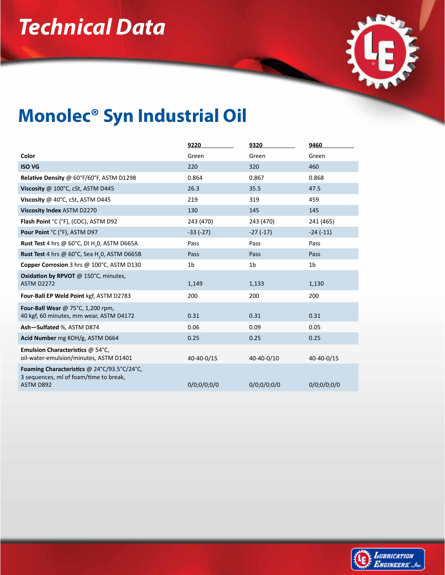# *Technical Data*



# **Monolec® Syn Industrial Oil**

|                                                                                                    | 9220           | 9320           | 9460           |
|----------------------------------------------------------------------------------------------------|----------------|----------------|----------------|
| Color                                                                                              | Green          | Green          | Green          |
| <b>ISO VG</b>                                                                                      | 220            | 320            | 460            |
| Relative Density @ 60°F/60°F, ASTM D1298                                                           | 0.864          | 0.867          | 0.868          |
| Viscosity @ 100°C, cSt, ASTM D445                                                                  | 26.3           | 35.5           | 47.5           |
| Viscosity @ 40°C, cSt, ASTM D445                                                                   | 219            | 319            | 459            |
| Viscosity Index ASTM D2270                                                                         | 130            | 145            | 145            |
| Flash Point °C (°F), (COC), ASTM D92                                                               | 243 (470)      | 243 (470)      | 241 (465)      |
| Pour Point °C (°F), ASTM D97                                                                       | $-33(-27)$     | $-27(-17)$     | $-24(-11)$     |
| <b>Rust Test</b> 4 hrs @ 60°C, DI H <sub>2</sub> 0, ASTM D665A                                     | Pass           | Pass           | Pass           |
| Rust Test 4 hrs @ 60°C, Sea H <sub>2</sub> 0, ASTM D665B                                           | Pass           | Pass           | Pass           |
| Copper Corrosion 3 hrs @ 100°C, ASTM D130                                                          | 1 <sub>b</sub> | 1 <sub>b</sub> | 1 <sub>b</sub> |
| Oxidation by RPVOT @ 150°C, minutes,<br>ASTM D2272                                                 | 1,149          | 1,133          | 1,130          |
| Four-Ball EP Weld Point kgf, ASTM D2783                                                            | 200            | 200            | 200            |
| Four-Ball Wear @ 75 $^{\circ}$ C, 1,200 rpm,<br>40 kgf, 60 minutes, mm wear, ASTM D4172            | 0.31           | 0.31           | 0.31           |
| Ash-Sulfated %, ASTM D874                                                                          | 0.06           | 0.09           | 0.05           |
| Acid Number mg KOH/g, ASTM D664                                                                    | 0.25           | 0.25           | 0.25           |
| Emulsion Characteristics @ 54°C,<br>oil-water-emulsion/minutes, ASTM D1401                         | 40-40-0/15     | 40-40-0/10     | 40-40-0/15     |
| Foaming Characteristics @ 24°C/93.5°C/24°C,<br>3 sequences, ml of foam/time to break,<br>ASTM D892 | 0/0;0/0;0/0    | 0/0;0/0;0/0    | 0/0;0/0;0/0    |